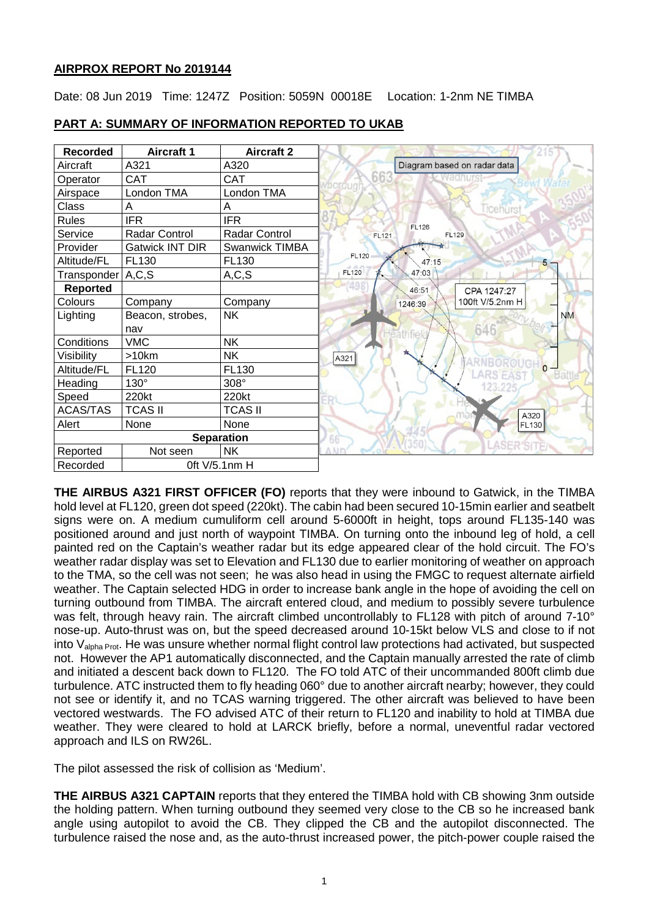# **AIRPROX REPORT No 2019144**

Date: 08 Jun 2019 Time: 1247Z Position: 5059N 00018E Location: 1-2nm NE TIMBA

| <b>Recorded</b>           | <b>Aircraft 1</b>      | <b>Aircraft 2</b>     |                              |
|---------------------------|------------------------|-----------------------|------------------------------|
| Aircraft                  | A321                   | A320                  | Diagram based on radar data  |
| Operator                  | <b>CAT</b>             | <b>CAT</b>            |                              |
| Airspace                  | London TMA             | London TMA            |                              |
| Class                     | Α                      | Α                     | Ticehurs                     |
| <b>Rules</b>              | <b>IFR</b>             | <b>IFR</b>            | <b>FL126</b>                 |
| Service                   | Radar Control          | <b>Radar Control</b>  | <b>FL129</b><br><b>FL121</b> |
| Provider                  | <b>Gatwick INT DIR</b> | <b>Swanwick TIMBA</b> |                              |
| Altitude/FL               | FL130                  | FL130                 | <b>FL120</b><br>47:15        |
| Transponder               | A, C, S                | A, C, S               | FL120<br>47:03               |
| <b>Reported</b>           |                        |                       | 46:51<br>CPA 1247:27         |
| Colours                   | Company                | Company               | 100ft V/5.2nm H<br>1246:39   |
| Lighting                  | Beacon, strobes,       | <b>NK</b>             | <b>NM</b>                    |
|                           | nav                    |                       | 646                          |
| Conditions                | <b>VMC</b>             | <b>NK</b>             |                              |
| Visibility                | >10km                  | NΚ                    | A321                         |
| Altitude/FL               | <b>FL120</b>           | FL130                 | Battl                        |
| Heading                   | $130^\circ$            | 308°                  |                              |
| Speed                     | 220kt                  | 220kt                 |                              |
| <b>ACAS/TAS</b>           | <b>TCAS II</b>         | <b>TCAS II</b>        | A320                         |
| Alert                     | None                   | None                  | FL130                        |
| <b>Separation</b>         |                        |                       | 66                           |
| Reported                  | Not seen               | <b>NK</b>             |                              |
| Oft V/5.1nm H<br>Recorded |                        |                       |                              |

# **PART A: SUMMARY OF INFORMATION REPORTED TO UKAB**

**THE AIRBUS A321 FIRST OFFICER (FO)** reports that they were inbound to Gatwick, in the TIMBA hold level at FL120, green dot speed (220kt). The cabin had been secured 10-15min earlier and seatbelt signs were on. A medium cumuliform cell around 5-6000ft in height, tops around FL135-140 was positioned around and just north of waypoint TIMBA. On turning onto the inbound leg of hold, a cell painted red on the Captain's weather radar but its edge appeared clear of the hold circuit. The FO's weather radar display was set to Elevation and FL130 due to earlier monitoring of weather on approach to the TMA, so the cell was not seen; he was also head in using the FMGC to request alternate airfield weather. The Captain selected HDG in order to increase bank angle in the hope of avoiding the cell on turning outbound from TIMBA. The aircraft entered cloud, and medium to possibly severe turbulence was felt, through heavy rain. The aircraft climbed uncontrollably to FL128 with pitch of around 7-10° nose-up. Auto-thrust was on, but the speed decreased around 10-15kt below VLS and close to if not into Valpha Prot. He was unsure whether normal flight control law protections had activated, but suspected not. However the AP1 automatically disconnected, and the Captain manually arrested the rate of climb and initiated a descent back down to FL120. The FO told ATC of their uncommanded 800ft climb due turbulence. ATC instructed them to fly heading 060° due to another aircraft nearby; however, they could not see or identify it, and no TCAS warning triggered. The other aircraft was believed to have been vectored westwards. The FO advised ATC of their return to FL120 and inability to hold at TIMBA due weather. They were cleared to hold at LARCK briefly, before a normal, uneventful radar vectored approach and ILS on RW26L.

The pilot assessed the risk of collision as 'Medium'.

**THE AIRBUS A321 CAPTAIN** reports that they entered the TIMBA hold with CB showing 3nm outside the holding pattern. When turning outbound they seemed very close to the CB so he increased bank angle using autopilot to avoid the CB. They clipped the CB and the autopilot disconnected. The turbulence raised the nose and, as the auto-thrust increased power, the pitch-power couple raised the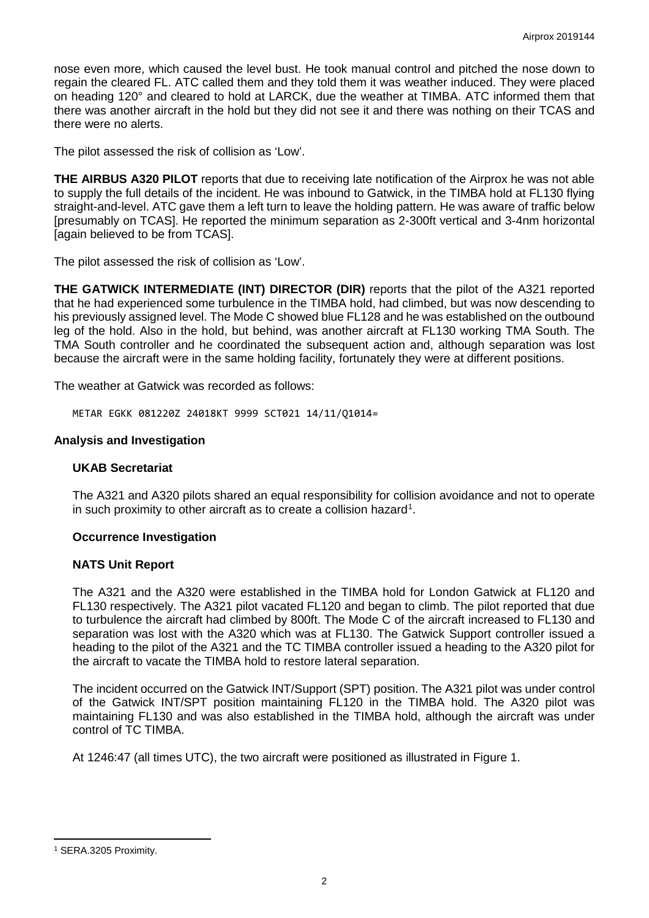nose even more, which caused the level bust. He took manual control and pitched the nose down to regain the cleared FL. ATC called them and they told them it was weather induced. They were placed on heading 120° and cleared to hold at LARCK, due the weather at TIMBA. ATC informed them that there was another aircraft in the hold but they did not see it and there was nothing on their TCAS and there were no alerts.

The pilot assessed the risk of collision as 'Low'.

**THE AIRBUS A320 PILOT** reports that due to receiving late notification of the Airprox he was not able to supply the full details of the incident. He was inbound to Gatwick, in the TIMBA hold at FL130 flying straight-and-level. ATC gave them a left turn to leave the holding pattern. He was aware of traffic below [presumably on TCAS]. He reported the minimum separation as 2-300ft vertical and 3-4nm horizontal [again believed to be from TCAS].

The pilot assessed the risk of collision as 'Low'.

**THE GATWICK INTERMEDIATE (INT) DIRECTOR (DIR)** reports that the pilot of the A321 reported that he had experienced some turbulence in the TIMBA hold, had climbed, but was now descending to his previously assigned level. The Mode C showed blue FL128 and he was established on the outbound leg of the hold. Also in the hold, but behind, was another aircraft at FL130 working TMA South. The TMA South controller and he coordinated the subsequent action and, although separation was lost because the aircraft were in the same holding facility, fortunately they were at different positions.

The weather at Gatwick was recorded as follows:

METAR EGKK 081220Z 24018KT 9999 SCT021 14/11/Q1014=

### **Analysis and Investigation**

### **UKAB Secretariat**

The A321 and A320 pilots shared an equal responsibility for collision avoidance and not to operate in such proximity to other aircraft as to create a collision hazard<sup>[1](#page-1-0)</sup>.

### **Occurrence Investigation**

### **NATS Unit Report**

The A321 and the A320 were established in the TIMBA hold for London Gatwick at FL120 and FL130 respectively. The A321 pilot vacated FL120 and began to climb. The pilot reported that due to turbulence the aircraft had climbed by 800ft. The Mode C of the aircraft increased to FL130 and separation was lost with the A320 which was at FL130. The Gatwick Support controller issued a heading to the pilot of the A321 and the TC TIMBA controller issued a heading to the A320 pilot for the aircraft to vacate the TIMBA hold to restore lateral separation.

The incident occurred on the Gatwick INT/Support (SPT) position. The A321 pilot was under control of the Gatwick INT/SPT position maintaining FL120 in the TIMBA hold. The A320 pilot was maintaining FL130 and was also established in the TIMBA hold, although the aircraft was under control of TC TIMBA.

At 1246:47 (all times UTC), the two aircraft were positioned as illustrated in Figure 1.

<span id="page-1-0"></span>l <sup>1</sup> SERA.3205 Proximity.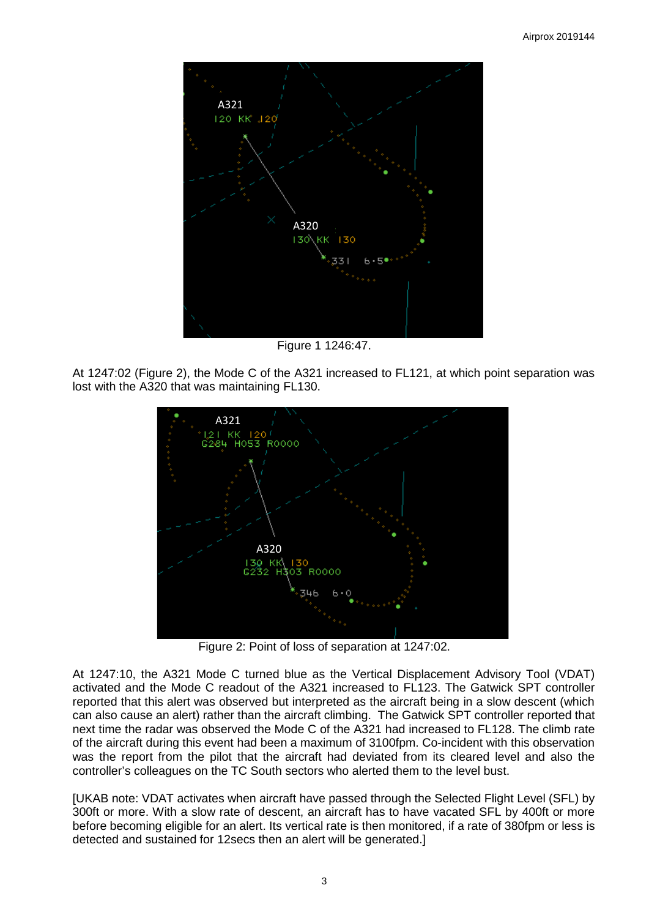

Figure 1 1246:47.

At 1247:02 (Figure 2), the Mode C of the A321 increased to FL121, at which point separation was lost with the A320 that was maintaining FL130.



Figure 2: Point of loss of separation at 1247:02.

At 1247:10, the A321 Mode C turned blue as the Vertical Displacement Advisory Tool (VDAT) activated and the Mode C readout of the A321 increased to FL123. The Gatwick SPT controller reported that this alert was observed but interpreted as the aircraft being in a slow descent (which can also cause an alert) rather than the aircraft climbing. The Gatwick SPT controller reported that next time the radar was observed the Mode C of the A321 had increased to FL128. The climb rate of the aircraft during this event had been a maximum of 3100fpm. Co-incident with this observation was the report from the pilot that the aircraft had deviated from its cleared level and also the controller's colleagues on the TC South sectors who alerted them to the level bust.

[UKAB note: VDAT activates when aircraft have passed through the Selected Flight Level (SFL) by 300ft or more. With a slow rate of descent, an aircraft has to have vacated SFL by 400ft or more before becoming eligible for an alert. Its vertical rate is then monitored, if a rate of 380fpm or less is detected and sustained for 12secs then an alert will be generated.]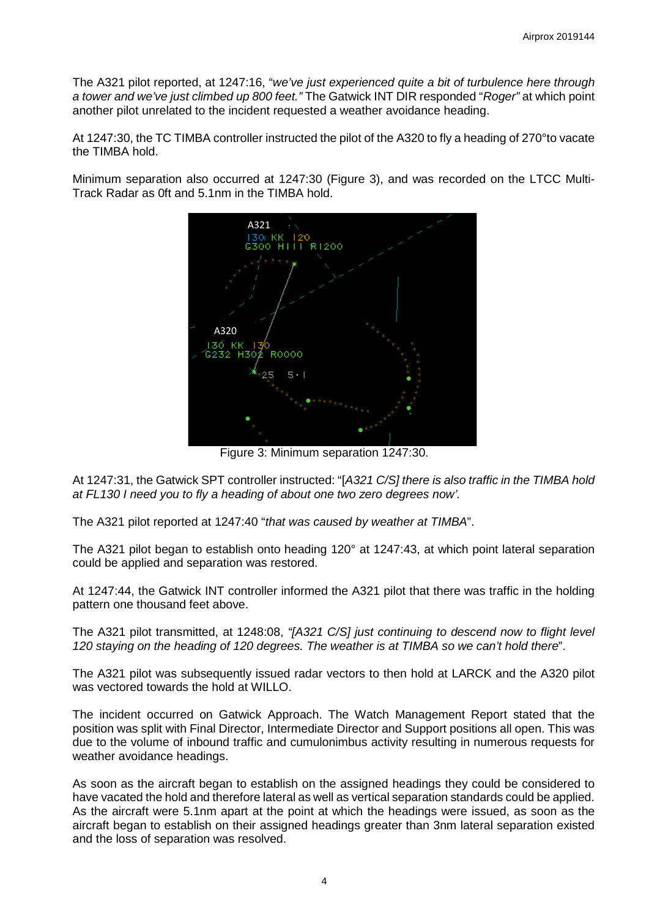The A321 pilot reported, at 1247:16, "*we've just experienced quite a bit of turbulence here through a tower and we've just climbed up 800 feet."* The Gatwick INT DIR responded "*Roger"* at which point another pilot unrelated to the incident requested a weather avoidance heading.

At 1247:30, the TC TIMBA controller instructed the pilot of the A320 to fly a heading of 270°to vacate the TIMBA hold.

Minimum separation also occurred at 1247:30 (Figure 3), and was recorded on the LTCC Multi-Track Radar as 0ft and 5.1nm in the TIMBA hold.



Figure 3: Minimum separation 1247:30.

At 1247:31, the Gatwick SPT controller instructed: "[*A321 C/S] there is also traffic in the TIMBA hold at FL130 I need you to fly a heading of about one two zero degrees now'.* 

The A321 pilot reported at 1247:40 "*that was caused by weather at TIMBA*".

The A321 pilot began to establish onto heading 120° at 1247:43, at which point lateral separation could be applied and separation was restored.

At 1247:44, the Gatwick INT controller informed the A321 pilot that there was traffic in the holding pattern one thousand feet above.

The A321 pilot transmitted, at 1248:08, *"[A321 C/S] just continuing to descend now to flight level 120 staying on the heading of 120 degrees. The weather is at TIMBA so we can't hold there*".

The A321 pilot was subsequently issued radar vectors to then hold at LARCK and the A320 pilot was vectored towards the hold at WILLO.

The incident occurred on Gatwick Approach. The Watch Management Report stated that the position was split with Final Director, Intermediate Director and Support positions all open. This was due to the volume of inbound traffic and cumulonimbus activity resulting in numerous requests for weather avoidance headings.

As soon as the aircraft began to establish on the assigned headings they could be considered to have vacated the hold and therefore lateral as well as vertical separation standards could be applied. As the aircraft were 5.1nm apart at the point at which the headings were issued, as soon as the aircraft began to establish on their assigned headings greater than 3nm lateral separation existed and the loss of separation was resolved.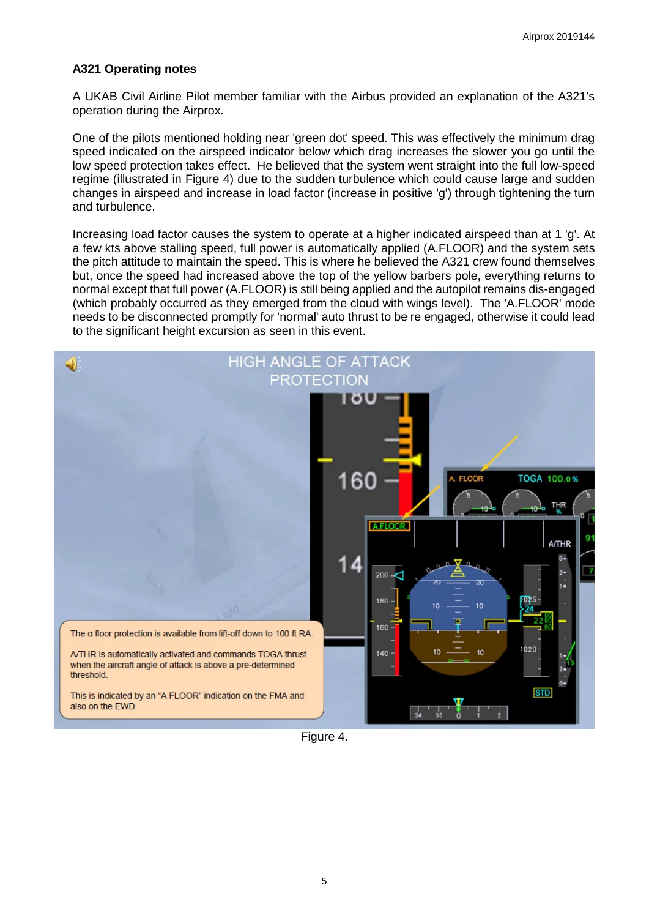# **A321 Operating notes**

A UKAB Civil Airline Pilot member familiar with the Airbus provided an explanation of the A321's operation during the Airprox.

One of the pilots mentioned holding near 'green dot' speed. This was effectively the minimum drag speed indicated on the airspeed indicator below which drag increases the slower you go until the low speed protection takes effect. He believed that the system went straight into the full low-speed regime (illustrated in Figure 4) due to the sudden turbulence which could cause large and sudden changes in airspeed and increase in load factor (increase in positive 'g') through tightening the turn and turbulence.

Increasing load factor causes the system to operate at a higher indicated airspeed than at 1 'g'. At a few kts above stalling speed, full power is automatically applied (A.FLOOR) and the system sets the pitch attitude to maintain the speed. This is where he believed the A321 crew found themselves but, once the speed had increased above the top of the yellow barbers pole, everything returns to normal except that full power (A.FLOOR) is still being applied and the autopilot remains dis-engaged (which probably occurred as they emerged from the cloud with wings level). The 'A.FLOOR' mode needs to be disconnected promptly for 'normal' auto thrust to be re engaged, otherwise it could lead to the significant height excursion as seen in this event.



Figure 4.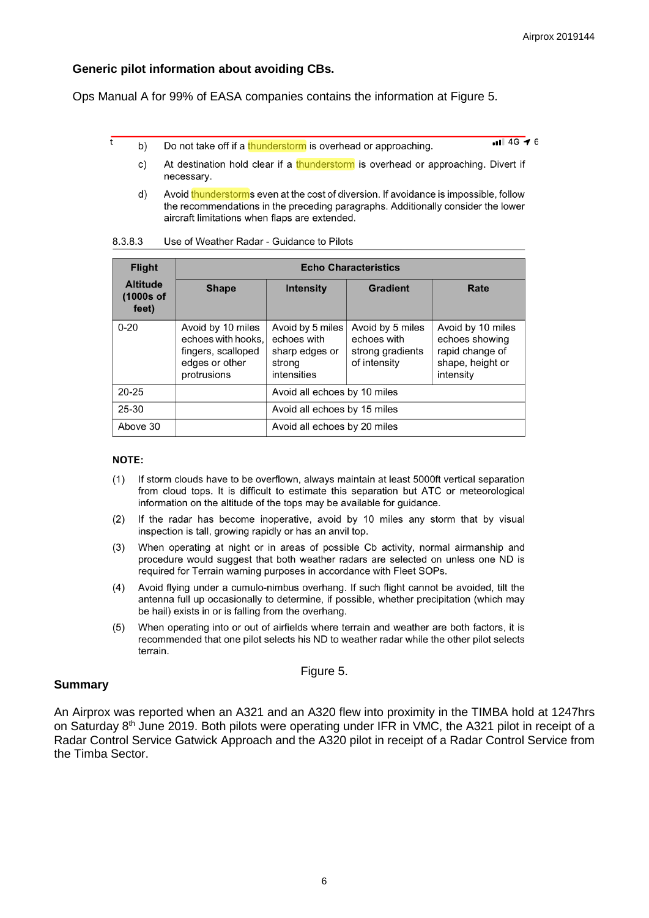## **Generic pilot information about avoiding CBs.**

Ops Manual A for 99% of EASA companies contains the information at Figure 5.

Do not take off if a thunderstorm is overhead or approaching. b)

 $\overline{11146}$  + 6

- At destination hold clear if a thunderstorm is overhead or approaching. Divert if  $\mathbf{C}$ necessary.
- $d)$ Avoid thunderstorms even at the cost of diversion. If avoidance is impossible, follow the recommendations in the preceding paragraphs. Additionally consider the lower aircraft limitations when flaps are extended.

| <b>Flight</b>                           | <b>Echo Characteristics</b>                                                                    |                                                                            |                                                                     |                                                                                         |  |
|-----------------------------------------|------------------------------------------------------------------------------------------------|----------------------------------------------------------------------------|---------------------------------------------------------------------|-----------------------------------------------------------------------------------------|--|
| <b>Altitude</b><br>$(1000s$ of<br>feet) | <b>Shape</b>                                                                                   | <b>Intensity</b>                                                           | Gradient                                                            | Rate                                                                                    |  |
| $0 - 20$                                | Avoid by 10 miles<br>echoes with hooks.<br>fingers, scalloped<br>edges or other<br>protrusions | Avoid by 5 miles<br>echoes with<br>sharp edges or<br>strong<br>intensities | Avoid by 5 miles<br>echoes with<br>strong gradients<br>of intensity | Avoid by 10 miles<br>echoes showing<br>rapid change of<br>shape, height or<br>intensity |  |
| $20 - 25$                               |                                                                                                | Avoid all echoes by 10 miles                                               |                                                                     |                                                                                         |  |
| 25-30                                   |                                                                                                | Avoid all echoes by 15 miles                                               |                                                                     |                                                                                         |  |
| Above 30                                |                                                                                                | Avoid all echoes by 20 miles                                               |                                                                     |                                                                                         |  |

#### 8.3.8.3 Use of Weather Radar - Guidance to Pilots

### **NOTE:**

Ŧ

- If storm clouds have to be overflown, always maintain at least 5000ft vertical separation  $(1)$ from cloud tops. It is difficult to estimate this separation but ATC or meteorological information on the altitude of the tops may be available for guidance.
- If the radar has become inoperative, avoid by 10 miles any storm that by visual  $(2)$ inspection is tall, growing rapidly or has an anvil top.
- $(3)$ When operating at night or in areas of possible Cb activity, normal airmanship and procedure would suggest that both weather radars are selected on unless one ND is required for Terrain warning purposes in accordance with Fleet SOPs.
- $(4)$ Avoid flying under a cumulo-nimbus overhang. If such flight cannot be avoided, tilt the antenna full up occasionally to determine, if possible, whether precipitation (which may be hail) exists in or is falling from the overhang.
- When operating into or out of airfields where terrain and weather are both factors, it is  $(5)$ recommended that one pilot selects his ND to weather radar while the other pilot selects terrain.

### Figure 5.

## **Summary**

An Airprox was reported when an A321 and an A320 flew into proximity in the TIMBA hold at 1247hrs on Saturday 8<sup>th</sup> June 2019. Both pilots were operating under IFR in VMC, the A321 pilot in receipt of a Radar Control Service Gatwick Approach and the A320 pilot in receipt of a Radar Control Service from the Timba Sector.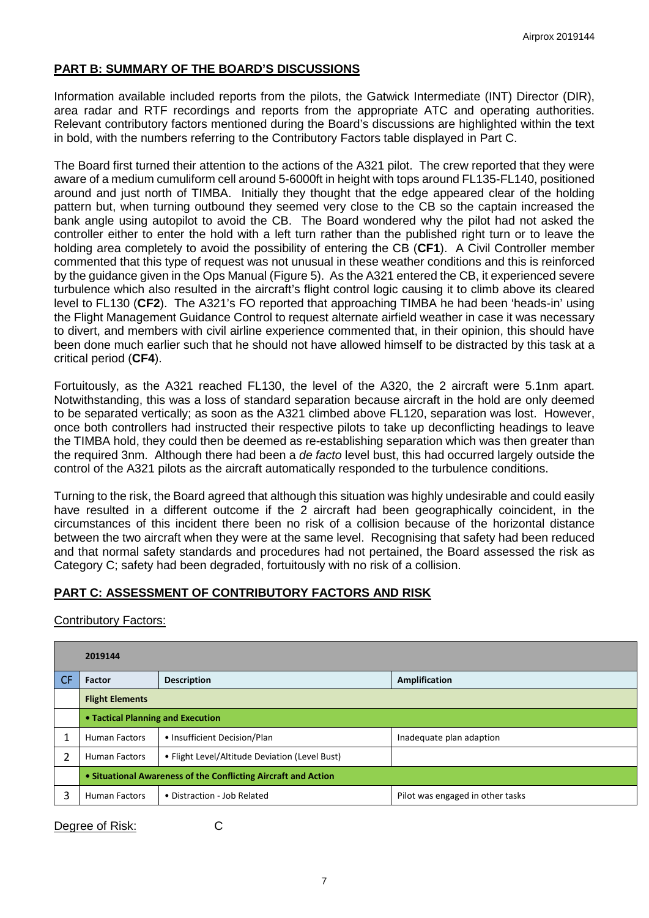# **PART B: SUMMARY OF THE BOARD'S DISCUSSIONS**

Information available included reports from the pilots, the Gatwick Intermediate (INT) Director (DIR), area radar and RTF recordings and reports from the appropriate ATC and operating authorities. Relevant contributory factors mentioned during the Board's discussions are highlighted within the text in bold, with the numbers referring to the Contributory Factors table displayed in Part C.

The Board first turned their attention to the actions of the A321 pilot. The crew reported that they were aware of a medium cumuliform cell around 5-6000ft in height with tops around FL135-FL140, positioned around and just north of TIMBA. Initially they thought that the edge appeared clear of the holding pattern but, when turning outbound they seemed very close to the CB so the captain increased the bank angle using autopilot to avoid the CB. The Board wondered why the pilot had not asked the controller either to enter the hold with a left turn rather than the published right turn or to leave the holding area completely to avoid the possibility of entering the CB (**CF1**). A Civil Controller member commented that this type of request was not unusual in these weather conditions and this is reinforced by the guidance given in the Ops Manual (Figure 5). As the A321 entered the CB, it experienced severe turbulence which also resulted in the aircraft's flight control logic causing it to climb above its cleared level to FL130 (**CF2**). The A321's FO reported that approaching TIMBA he had been 'heads-in' using the Flight Management Guidance Control to request alternate airfield weather in case it was necessary to divert, and members with civil airline experience commented that, in their opinion, this should have been done much earlier such that he should not have allowed himself to be distracted by this task at a critical period (**CF4**).

Fortuitously, as the A321 reached FL130, the level of the A320, the 2 aircraft were 5.1nm apart. Notwithstanding, this was a loss of standard separation because aircraft in the hold are only deemed to be separated vertically; as soon as the A321 climbed above FL120, separation was lost. However, once both controllers had instructed their respective pilots to take up deconflicting headings to leave the TIMBA hold, they could then be deemed as re-establishing separation which was then greater than the required 3nm. Although there had been a *de facto* level bust, this had occurred largely outside the control of the A321 pilots as the aircraft automatically responded to the turbulence conditions.

Turning to the risk, the Board agreed that although this situation was highly undesirable and could easily have resulted in a different outcome if the 2 aircraft had been geographically coincident, in the circumstances of this incident there been no risk of a collision because of the horizontal distance between the two aircraft when they were at the same level. Recognising that safety had been reduced and that normal safety standards and procedures had not pertained, the Board assessed the risk as Category C; safety had been degraded, fortuitously with no risk of a collision.

# **PART C: ASSESSMENT OF CONTRIBUTORY FACTORS AND RISK**

Contributory Factors:

|     | 2019144                                                        |                                                |                                  |  |  |
|-----|----------------------------------------------------------------|------------------------------------------------|----------------------------------|--|--|
| CF. | <b>Factor</b>                                                  | <b>Description</b>                             | Amplification                    |  |  |
|     | <b>Flight Elements</b>                                         |                                                |                                  |  |  |
|     | • Tactical Planning and Execution                              |                                                |                                  |  |  |
|     | <b>Human Factors</b>                                           | • Insufficient Decision/Plan                   | Inadequate plan adaption         |  |  |
| 2   | <b>Human Factors</b>                                           | • Flight Level/Altitude Deviation (Level Bust) |                                  |  |  |
|     | • Situational Awareness of the Conflicting Aircraft and Action |                                                |                                  |  |  |
| 3   | <b>Human Factors</b>                                           | • Distraction - Job Related                    | Pilot was engaged in other tasks |  |  |

Degree of Risk: C